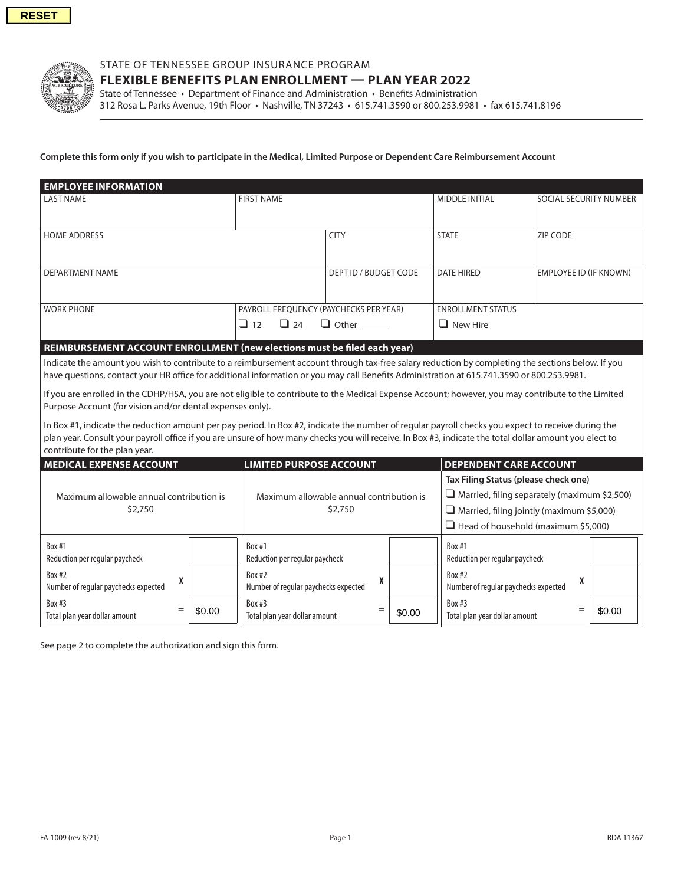

## STATE OF TENNESSEE GROUP INSURANCE PROGRAM

**FLEXIBLE BENEFITS PLAN ENROLLMENT — PLAN YEAR 2022**

State of Tennessee • Department of Finance and Administration • Benefits Administration 312 Rosa L. Parks Avenue, 19th Floor • Nashville, TN 37243 • 615.741.3590 or 800.253.9981 • fax 615.741.8196

## **Complete this form only if you wish to participate in the Medical, Limited Purpose or Dependent Care Reimbursement Account**

| <b>EMPLOYEE INFORMATION</b> |                                        |                       |                          |                               |
|-----------------------------|----------------------------------------|-----------------------|--------------------------|-------------------------------|
| l LAST NAME                 | <b>FIRST NAME</b>                      |                       | <b>MIDDLE INITIAL</b>    | SOCIAL SECURITY NUMBER        |
|                             |                                        |                       |                          |                               |
| <b>HOME ADDRESS</b>         |                                        | <b>CITY</b>           | <b>STATE</b>             | ZIP CODE                      |
| DEPARTMENT NAME             |                                        | DEPT ID / BUDGET CODE | <b>DATE HIRED</b>        | <b>EMPLOYEE ID (IF KNOWN)</b> |
| <b>WORK PHONE</b>           | PAYROLL FREQUENCY (PAYCHECKS PER YEAR) |                       | <b>ENROLLMENT STATUS</b> |                               |
|                             | $\Box$ 12<br>$\Box$ 24                 | $\Box$ Other          | $\Box$ New Hire          |                               |

## **REIMBURSEMENT ACCOUNT ENROLLMENT (new elections must be filed each year)**

Indicate the amount you wish to contribute to a reimbursement account through tax-free salary reduction by completing the sections below. If you have questions, contact your HR office for additional information or you may call Benefits Administration at 615.741.3590 or 800.253.9981.

If you are enrolled in the CDHP/HSA, you are not eligible to contribute to the Medical Expense Account; however, you may contribute to the Limited Purpose Account (for vision and/or dental expenses only).

In Box #1, indicate the reduction amount per pay period. In Box #2, indicate the number of regular payroll checks you expect to receive during the plan year. Consult your payroll office if you are unsure of how many checks you will receive. In Box #3, indicate the total dollar amount you elect to contribute for the plan year.

| <b>LIMITED PURPOSE ACCOUNT</b><br><b>MEDICAL EXPENSE ACCOUNT</b> |        | <b>DEPENDENT CARE ACCOUNT</b>                       |        |                                                                  |        |  |
|------------------------------------------------------------------|--------|-----------------------------------------------------|--------|------------------------------------------------------------------|--------|--|
| Maximum allowable annual contribution is<br>\$2,750              |        | Maximum allowable annual contribution is<br>\$2,750 |        | Tax Filing Status (please check one)                             |        |  |
|                                                                  |        |                                                     |        | $\Box$ Married, filing separately (maximum \$2,500)              |        |  |
|                                                                  |        |                                                     |        | $\Box$ Married, filing jointly (maximum \$5,000)                 |        |  |
|                                                                  |        |                                                     |        | $\Box$ Head of household (maximum \$5,000)                       |        |  |
| Box $#1$<br>Reduction per regular paycheck                       |        | Box #1<br>Reduction per regular paycheck            |        | Box #1<br>Reduction per regular paycheck                         |        |  |
| Box #2<br>Number of regular paychecks expected                   |        | Box $#2$<br>Number of regular paychecks expected    |        | Box $#2$<br>$\mathbf{v}$<br>Number of regular paychecks expected |        |  |
| Box #3<br>=<br>Total plan year dollar amount                     | \$0.00 | Box #3<br>=<br>Total plan year dollar amount        | \$0.00 | Box #3<br>$=$<br>Total plan year dollar amount                   | \$0.00 |  |

See page 2 to complete the authorization and sign this form.